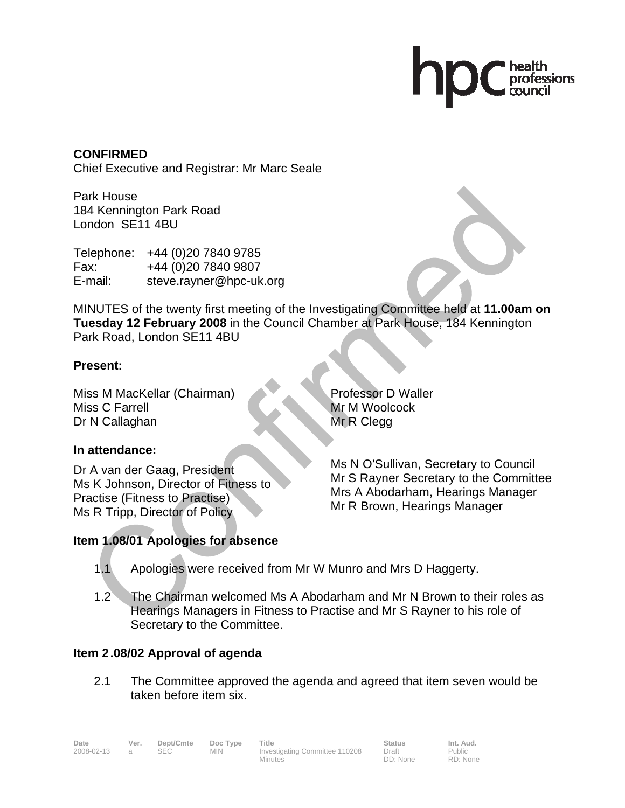## **CONFIRMED**

Chief Executive and Registrar: Mr Marc Seale

Park House 184 Kennington Park Road London SE11 4BU

Telephone: +44 (0)20 7840 9785 Fax: +44 (0)20 7840 9807 E-mail: steve.rayner@hpc-uk.org

MINUTES of the twenty first meeting of the Investigating Committee held at **11.00am on Tuesday 12 February 2008** in the Council Chamber at Park House, 184 Kennington Park Road, London SE11 4BU

## **Present:**

Miss M MacKellar (Chairman) Miss C Farrell Dr N Callaghan

# **In attendance:**

Dr A van der Gaag, President Ms K Johnson, Director of Fitness to Practise (Fitness to Practise) Ms R Tripp, Director of Policy

Professor D Waller Mr M Woolcock Mr R Clegg

Ms N O'Sullivan, Secretary to Council Mr S Rayner Secretary to the Committee Mrs A Abodarham, Hearings Manager Mr R Brown, Hearings Manager

# **Item 1.08/01 Apologies for absence**

- 1.1 Apologies were received from Mr W Munro and Mrs D Haggerty.
- 1.2 The Chairman welcomed Ms A Abodarham and Mr N Brown to their roles as Hearings Managers in Fitness to Practise and Mr S Rayner to his role of Secretary to the Committee.

# **Item 2 .08/02 Approval of agenda**

2.1 The Committee approved the agenda and agreed that item seven would be taken before item six.

Date Ver. Dept/Cmte Doc Type Title **Status** Status Int. Aud. 2008-02-13 a SEC MIN Investigating Committee 110208 Minutes Draft DD: None

Public RD: None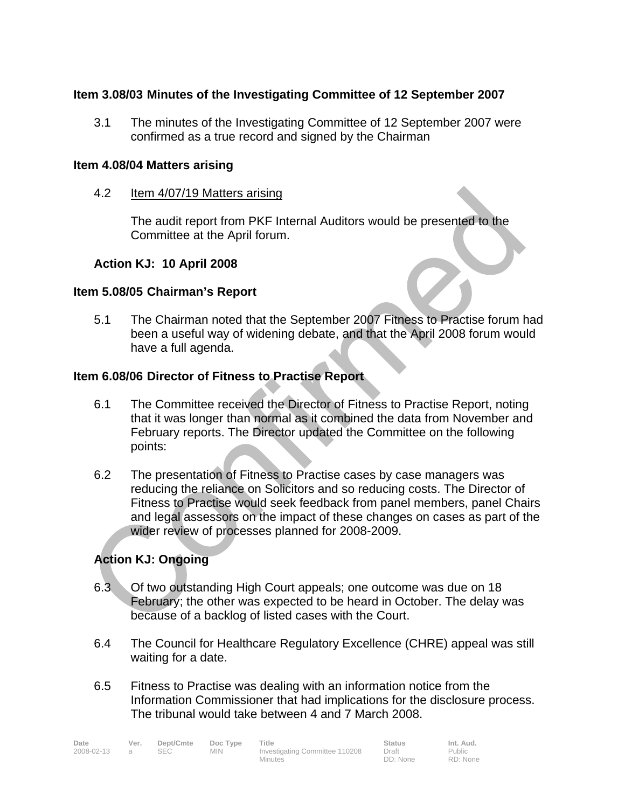## **Item 3.08/03 Minutes of the Investigating Committee of 12 September 2007**

3.1 The minutes of the Investigating Committee of 12 September 2007 were confirmed as a true record and signed by the Chairman

#### **Item 4.08/04 Matters arising**

4.2 Item 4/07/19 Matters arising

The audit report from PKF Internal Auditors would be presented to the Committee at the April forum.

## **Action KJ: 10 April 2008**

## **Item 5.08/05 Chairman's Report**

5.1 The Chairman noted that the September 2007 Fitness to Practise forum had been a useful way of widening debate, and that the April 2008 forum would have a full agenda.

### **Item 6.08/06 Director of Fitness to Practise Report**

- 6.1 The Committee received the Director of Fitness to Practise Report, noting that it was longer than normal as it combined the data from November and February reports. The Director updated the Committee on the following points:
- 6.2 The presentation of Fitness to Practise cases by case managers was reducing the reliance on Solicitors and so reducing costs. The Director of Fitness to Practise would seek feedback from panel members, panel Chairs and legal assessors on the impact of these changes on cases as part of the wider review of processes planned for 2008-2009.

## **Action KJ: Ongoing**

- 6.3 Of two outstanding High Court appeals; one outcome was due on 18 February; the other was expected to be heard in October. The delay was because of a backlog of listed cases with the Court.
- 6.4 The Council for Healthcare Regulatory Excellence (CHRE) appeal was still waiting for a date.
- 6.5 Fitness to Practise was dealing with an information notice from the Information Commissioner that had implications for the disclosure process. The tribunal would take between 4 and 7 March 2008.

| Date       | Ver. | Dept/Cmte | Doc Type   | Title                          | <b>Status</b> | Int. Aud. |
|------------|------|-----------|------------|--------------------------------|---------------|-----------|
| 2008-02-13 |      | SEC       | <b>MIN</b> | Investigating Committee 110208 | Draft         | Public    |
|            |      |           |            | Minutes                        | DD: None      | RD: None  |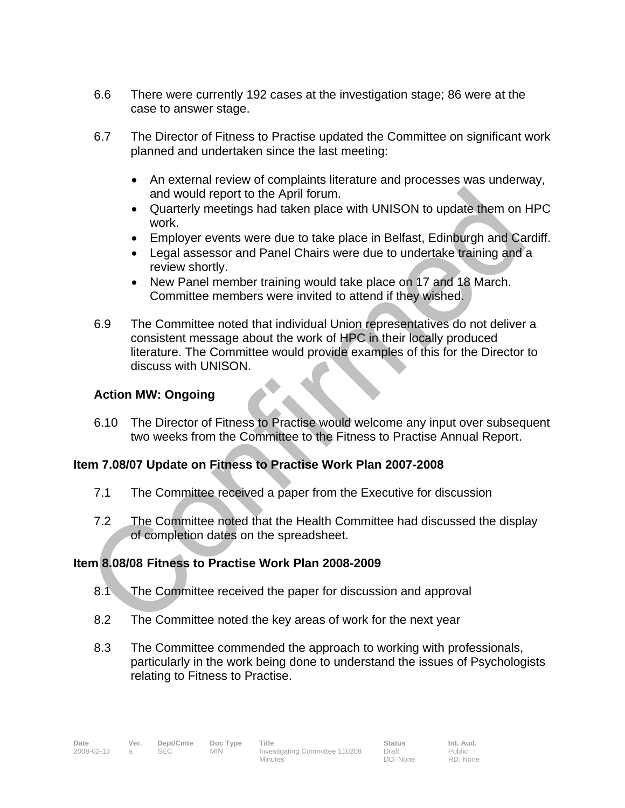- 6.6 There were currently 192 cases at the investigation stage; 86 were at the case to answer stage.
- 6.7 The Director of Fitness to Practise updated the Committee on significant work planned and undertaken since the last meeting:
	- An external review of complaints literature and processes was underway, and would report to the April forum.
	- Quarterly meetings had taken place with UNISON to update them on HPC work.
	- Employer events were due to take place in Belfast, Edinburgh and Cardiff.
	- Legal assessor and Panel Chairs were due to undertake training and a review shortly.
	- New Panel member training would take place on 17 and 18 March. Committee members were invited to attend if they wished.
- 6.9 The Committee noted that individual Union representatives do not deliver a consistent message about the work of HPC in their locally produced literature. The Committee would provide examples of this for the Director to discuss with UNISON.

# **Action MW: Ongoing**

ì

6.10 The Director of Fitness to Practise would welcome any input over subsequent two weeks from the Committee to the Fitness to Practise Annual Report.

# **Item 7.08/07 Update on Fitness to Practise Work Plan 2007-2008**

- 7.1 The Committee received a paper from the Executive for discussion
- 7.2 The Committee noted that the Health Committee had discussed the display of completion dates on the spreadsheet.

# **Item 8.08/08 Fitness to Practise Work Plan 2008-2009**

- 8.1 The Committee received the paper for discussion and approval
- 8.2 The Committee noted the key areas of work for the next year
- 8.3 The Committee commended the approach to working with professionals, particularly in the work being done to understand the issues of Psychologists relating to Fitness to Practise.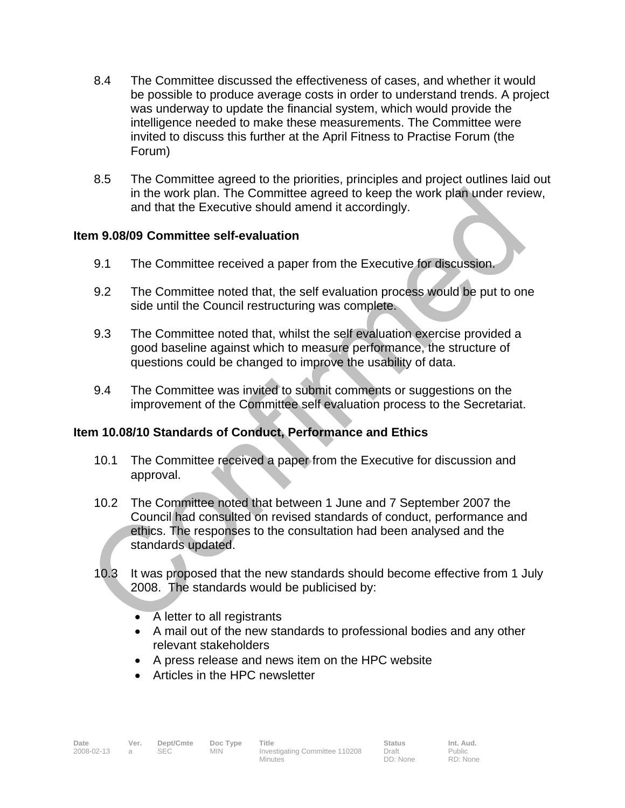- 8.4 The Committee discussed the effectiveness of cases, and whether it would be possible to produce average costs in order to understand trends. A project was underway to update the financial system, which would provide the intelligence needed to make these measurements. The Committee were invited to discuss this further at the April Fitness to Practise Forum (the Forum)
- 8.5 The Committee agreed to the priorities, principles and project outlines laid out in the work plan. The Committee agreed to keep the work plan under review, and that the Executive should amend it accordingly.

## **Item 9.08/09 Committee self-evaluation**

- 9.1 The Committee received a paper from the Executive for discussion.
- 9.2 The Committee noted that, the self evaluation process would be put to one side until the Council restructuring was complete.
- 9.3 The Committee noted that, whilst the self evaluation exercise provided a good baseline against which to measure performance, the structure of questions could be changed to improve the usability of data.
- 9.4 The Committee was invited to submit comments or suggestions on the improvement of the Committee self evaluation process to the Secretariat.

# **Item 10.08/10 Standards of Conduct, Performance and Ethics**

- 10.1 The Committee received a paper from the Executive for discussion and approval.
- 10.2 The Committee noted that between 1 June and 7 September 2007 the Council had consulted on revised standards of conduct, performance and ethics. The responses to the consultation had been analysed and the standards updated.
- 10.3 It was proposed that the new standards should become effective from 1 July 2008. The standards would be publicised by:
	- A letter to all registrants
	- A mail out of the new standards to professional bodies and any other relevant stakeholders
	- A press release and news item on the HPC website
	- Articles in the HPC newsletter